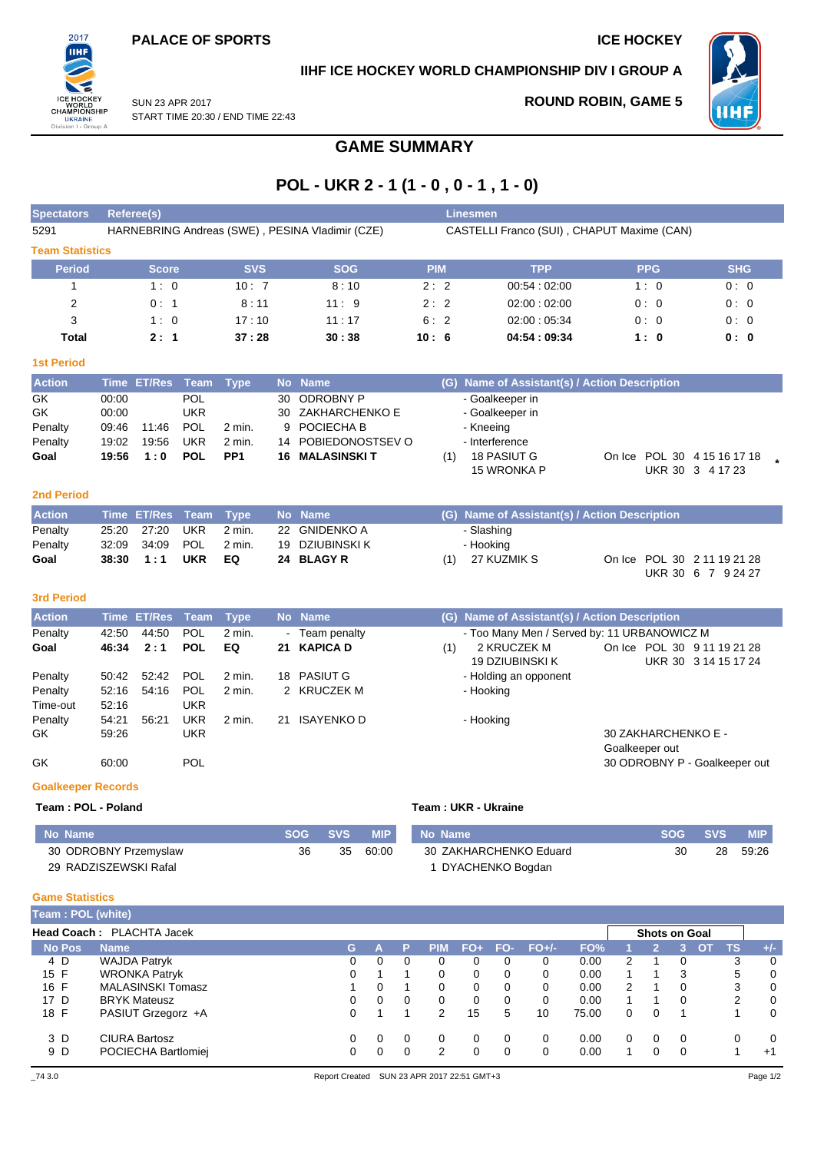

## **IIHF ICE HOCKEY WORLD CHAMPIONSHIP DIV I GROUP A**



SUN 23 APR 2017 START TIME 20:30 / END TIME 22:43 **ROUND ROBIN, GAME 5**

## **GAME SUMMARY**

# **POL - UKR 2 - 1 (1 - 0 , 0 - 1 , 1 - 0)**

| <b>Spectators</b>      | Referee(s)                                      |            |            | Linesmen,                                  |               |            |            |  |  |  |  |
|------------------------|-------------------------------------------------|------------|------------|--------------------------------------------|---------------|------------|------------|--|--|--|--|
| 5291                   | HARNEBRING Andreas (SWE), PESINA Vladimir (CZE) |            |            | CASTELLI Franco (SUI), CHAPUT Maxime (CAN) |               |            |            |  |  |  |  |
| <b>Team Statistics</b> |                                                 |            |            |                                            |               |            |            |  |  |  |  |
| <b>Period</b>          | <b>Score</b>                                    | <b>SVS</b> | <b>SOG</b> | <b>PIM</b>                                 | <b>TPP</b>    | <b>PPG</b> | <b>SHG</b> |  |  |  |  |
|                        | 1:0                                             | 10:7       | 8:10       | 2:2                                        | 00.54:02:00   | 1:0        | 0:0        |  |  |  |  |
| 2                      | 0:1                                             | 8:11       | 11:9       | 2:2                                        | 02:00:02:00   | 0:0        | 0:0        |  |  |  |  |
| 3                      | 1:0                                             | 17:10      | 11:17      | 6:2                                        | 02:00:05:34   | 0:0        | 0:0        |  |  |  |  |
| Total                  | 2:1                                             | 37:28      | 30:38      | 10:6                                       | 04:54 : 09:34 | 1:0        | 0: 0       |  |  |  |  |

| <b>Action</b> |       | Time ET/Res Team Type |            |                 | No Name               |     | (G) Name of Assistant(s) / Action Description |  |                             |  |
|---------------|-------|-----------------------|------------|-----------------|-----------------------|-----|-----------------------------------------------|--|-----------------------------|--|
| GK.           | 00:00 |                       | POL.       |                 | 30 ODROBNY P          |     | - Goalkeeper in                               |  |                             |  |
| <b>GK</b>     | 00:00 |                       | UKR        |                 | 30 ZAKHARCHENKO E     |     | - Goalkeeper in                               |  |                             |  |
| Penalty       | 09:46 | 11:46                 | <b>POL</b> | 2 min.          | 9 POCIECHA B          |     | - Kneeing                                     |  |                             |  |
| Penalty       | 19:02 | 19:56                 | <b>UKR</b> | 2 min.          | 14 POBIEDONOSTSEV O   |     | - Interference                                |  |                             |  |
| Goal          |       | $19:56$ 1:0           | <b>POL</b> | PP <sub>1</sub> | <b>16 MALASINSKIT</b> | (1) | 18 PASIUT G                                   |  | On Ice POL 30 4 15 16 17 18 |  |
|               |       |                       |            |                 |                       |     | 15 WRONKA P                                   |  | UKR 30 3 4 17 23            |  |

#### **2nd Period**

**1st Period**

| <b>Action</b> |       | Time ET/Res Team Type |            |        | No Name         |     | (G) Name of Assistant(s) / Action Description |                                                   |  |
|---------------|-------|-----------------------|------------|--------|-----------------|-----|-----------------------------------------------|---------------------------------------------------|--|
| Penalty       |       | 25:20 27:20           | UKR        | 2 min. | 22 GNIDENKO A   |     | - Slashing                                    |                                                   |  |
| Penalty       |       |                       |            | 2 min. | 19 DZIUBINSKI K |     | - Hooking                                     |                                                   |  |
| Goal          | 38:30 | 1:1                   | <b>UKR</b> | EQ     | 24 BLAGY R      | (1) | 27 KUZMIK S                                   | On Ice POL 30 2 11 19 21 28<br>UKR 30 6 7 9 24 27 |  |

### **3rd Period**

| <b>Action</b> |       | Time ET/Res Team Type |            |          | <b>No</b> | <b>Name</b>    |     | (G) Name of Assistant(s) / Action Description |                               |
|---------------|-------|-----------------------|------------|----------|-----------|----------------|-----|-----------------------------------------------|-------------------------------|
| Penalty       | 42:50 | 44.50                 | <b>POL</b> | 2 min.   |           | - Team penalty |     | - Too Many Men / Served by: 11 URBANOWICZ M   |                               |
| Goal          | 46:34 | 2:1                   | <b>POL</b> | EQ       |           | 21 KAPICA D    | (1) | 2 KRUCZEK M                                   | On Ice POL 30 9 11 19 21 28   |
|               |       |                       |            |          |           |                |     | 19 DZIUBINSKI K                               | UKR 30 3 14 15 17 24          |
| Penalty       | 50:42 | 52:42                 | <b>POL</b> | $2$ min. |           | 18 PASIUT G    |     | - Holding an opponent                         |                               |
| Penalty       | 52:16 | 54:16                 | <b>POL</b> | 2 min.   |           | 2 KRUCZEK M    |     | - Hooking                                     |                               |
| Time-out      | 52:16 |                       | <b>UKR</b> |          |           |                |     |                                               |                               |
| Penalty       | 54:21 | 56:21                 | UKR        | 2 min.   | 21        | ISAYENKO D     |     | - Hooking                                     |                               |
| GK.           | 59:26 |                       | <b>UKR</b> |          |           |                |     |                                               | 30 ZAKHARCHENKO E -           |
|               |       |                       |            |          |           |                |     |                                               | Goalkeeper out                |
| GK            | 60:00 |                       | <b>POL</b> |          |           |                |     |                                               | 30 ODROBNY P - Goalkeeper out |
|               |       |                       |            |          |           |                |     |                                               |                               |

#### **Goalkeeper Records**

**Team : POL - Poland Team : UKR - Ukraine**

| No Name               | SOG SVS |    | <b>MIP</b> | No Name                | SOG SVS |    | <b>MIP</b> |
|-----------------------|---------|----|------------|------------------------|---------|----|------------|
| 30 ODROBNY Przemyslaw | 36      | 35 | 60:00      | 30 ZAKHARCHENKO Eduard | 30      | 28 | 59:26      |
| 29 RADZISZEWSKI Rafal |         |    |            | DYACHENKO Bogdan       |         |    |            |

#### **Game Statistics**

| Team: POL (white) |                           |    |   |          |               |     |             |         |       |          |                      |          |           |           |       |
|-------------------|---------------------------|----|---|----------|---------------|-----|-------------|---------|-------|----------|----------------------|----------|-----------|-----------|-------|
|                   | Head Coach: PLACHTA Jacek |    |   |          |               |     |             |         |       |          | <b>Shots on Goal</b> |          |           |           |       |
| <b>No Pos</b>     | <b>Name</b>               | G. |   | P        | <b>PIM</b>    | FO+ | <b>FO-7</b> | $FO+/-$ | FO%   |          |                      | З        | <b>OT</b> | <b>TS</b> | $+/-$ |
| 4 D               | <b>WAJDA Patryk</b>       | 0  | 0 | $\Omega$ | 0             | 0   | 0           | 0       | 0.00  | 2        |                      | 0        |           | 3         | 0     |
| 15 F              | <b>WRONKA Patryk</b>      |    |   |          | 0             | 0   | 0           | 0       | 0.00  |          |                      | 3        |           | 5         | 0     |
| 16 F              | <b>MALASINSKI Tomasz</b>  |    | 0 |          | 0             | 0   | 0           | 0       | 0.00  | 2        |                      | 0        |           | 3         | 0     |
| 17 D              | <b>BRYK Mateusz</b>       |    | 0 | $\Omega$ | 0             | 0   | $\Omega$    | 0       | 0.00  |          |                      | 0        |           | 2         | 0     |
| 18 F              | PASIUT Grzegorz +A        |    |   |          | $\mathcal{P}$ | 15  | 5           | 10      | 75.00 | $\Omega$ | $\Omega$             |          |           |           | 0     |
| 3 D               | <b>CIURA Bartosz</b>      |    | 0 | $\Omega$ | 0             | 0   | $\Omega$    | 0       | 0.00  | $\Omega$ | 0                    | $\Omega$ |           | 0         | 0     |
| 9 D               | POCIECHA Bartlomiei       |    | 0 | $\Omega$ | $\mathcal{P}$ |     | 0           | 0       | 0.00  |          |                      | 0        |           |           | $+1$  |